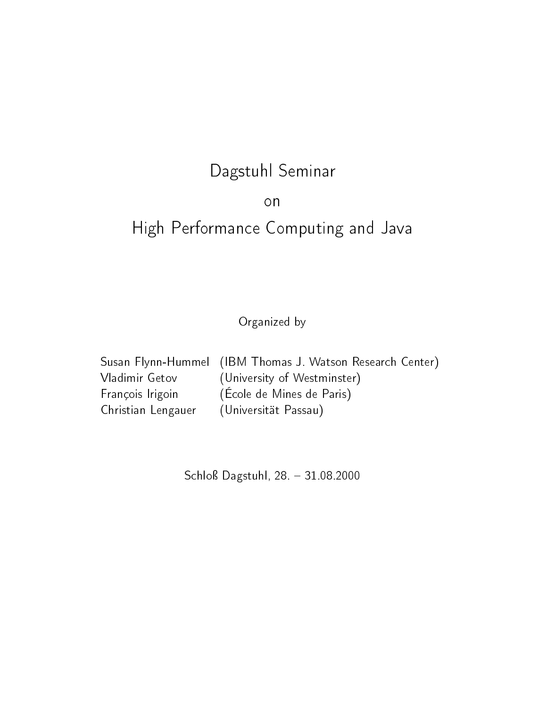## dagst Seminar Seminar Seminar Seminar Seminar Seminar Seminar Seminar Seminar Seminar Seminar Seminar Seminar

## on

# High Performance Computing and Java

Organized by

| Susan Flynn-Hummel (IBM Thomas J. Watson Research Center) |
|-----------------------------------------------------------|
| (University of Westminster)                               |
| (École de Mines de Paris)                                 |
| (Universität Passau)                                      |
|                                                           |

Schloÿ Dagstuhl, 28. 31.08.2000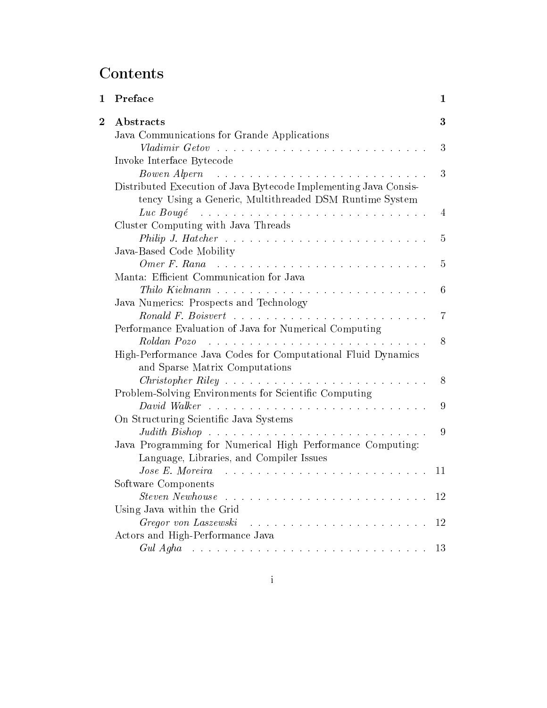## **Contents**

| Preface                                                                                                                                                                                                                                                               | 1  |
|-----------------------------------------------------------------------------------------------------------------------------------------------------------------------------------------------------------------------------------------------------------------------|----|
| Abstracts                                                                                                                                                                                                                                                             | 3  |
| Java Communications for Grande Applications                                                                                                                                                                                                                           | 3  |
| Invoke Interface Bytecode                                                                                                                                                                                                                                             |    |
| Bowen Alpern<br>.<br>The contract of the contract of the contract of the contract of the contract of the contract of the contract of<br>Distributed Execution of Java Bytecode Implementing Java Consis-<br>tency Using a Generic, Multithreaded DSM Runtime System   | 3  |
| Luc Bougé received and the service of the Bought of the service of the service of the service of the service of the service of the service of the service of the service of the service of the service of the service of the s<br>Cluster Computing with Java Threads | 4  |
|                                                                                                                                                                                                                                                                       | 5  |
| Java-Based Code Mobility<br>Omer F. Rana $\ldots \ldots \ldots \ldots \ldots \ldots \ldots \ldots \ldots$<br>Manta: Efficient Communication for Java                                                                                                                  | 5  |
|                                                                                                                                                                                                                                                                       | 6  |
| Java Numerics: Prospects and Technology                                                                                                                                                                                                                               | 7  |
| Performance Evaluation of Java for Numerical Computing                                                                                                                                                                                                                | 8  |
| High-Performance Java Codes for Computational Fluid Dynamics<br>and Sparse Matrix Computations                                                                                                                                                                        |    |
| Problem-Solving Environments for Scientific Computing                                                                                                                                                                                                                 | 8  |
| On Structuring Scientific Java Systems                                                                                                                                                                                                                                | 9  |
| Java Programming for Numerical High Performance Computing:<br>Language, Libraries, and Compiler Issues                                                                                                                                                                | 9  |
| .<br>The contract of the contract of the contract of the contract of the contract of the contract of the contract of<br>Jose E. Moreira                                                                                                                               | 11 |
| Software Components<br>Using Java within the Grid                                                                                                                                                                                                                     | 12 |
| Gregor von Laszewski<br>Actors and High-Performance Java                                                                                                                                                                                                              |    |
| Gul Agha $\ldots \ldots \ldots \ldots \ldots \ldots \ldots \ldots \ldots \ldots \ldots 13$                                                                                                                                                                            |    |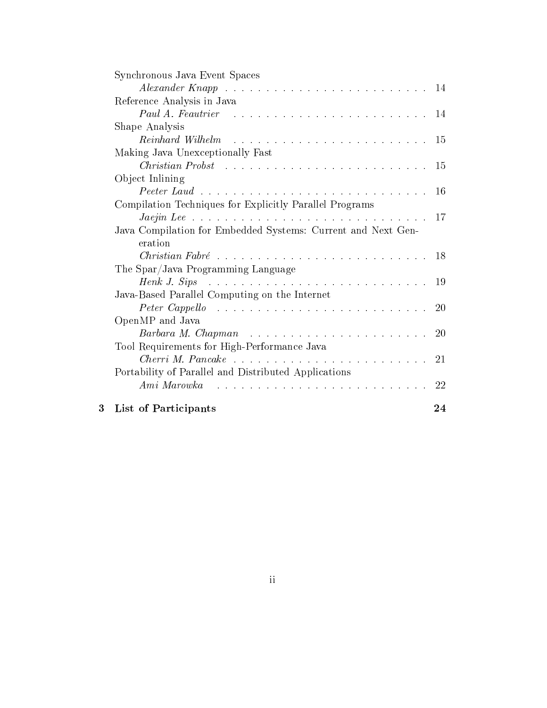|   | Synchronous Java Event Spaces                                                                                                       |     |
|---|-------------------------------------------------------------------------------------------------------------------------------------|-----|
|   | Alexander Knapp $\ldots \ldots \ldots \ldots \ldots \ldots \ldots \ldots \ldots \ldots 14$                                          |     |
|   | Reference Analysis in Java                                                                                                          |     |
|   | Paul A. Feautrier $\ldots \ldots \ldots \ldots \ldots \ldots \ldots \ldots \ldots 14$                                               |     |
|   | Shape Analysis                                                                                                                      |     |
|   |                                                                                                                                     |     |
|   | Making Java Unexceptionally Fast                                                                                                    |     |
|   |                                                                                                                                     |     |
|   | Object Inlining                                                                                                                     |     |
|   |                                                                                                                                     |     |
|   | Compilation Techniques for Explicitly Parallel Programs                                                                             |     |
|   |                                                                                                                                     | -17 |
|   | Java Compilation for Embedded Systems: Current and Next Gen-                                                                        |     |
|   | eration                                                                                                                             |     |
|   |                                                                                                                                     |     |
|   | The Spar/Java Programming Language                                                                                                  |     |
|   |                                                                                                                                     |     |
|   | Java-Based Parallel Computing on the Internet                                                                                       |     |
|   | Peter Cappello $\ldots \ldots \ldots \ldots \ldots \ldots \ldots \ldots \ldots \ldots 20$                                           |     |
|   | OpenMP and Java                                                                                                                     |     |
|   | Barbara M. Chapman $\ldots \ldots \ldots \ldots \ldots \ldots \ldots \ldots$                                                        | 20  |
|   | Tool Requirements for High-Performance Java                                                                                         |     |
|   |                                                                                                                                     |     |
|   | Portability of Parallel and Distributed Applications                                                                                |     |
|   | Ami Marowka<br>.<br>The contract of the contract of the contract of the contract of the contract of the contract of the contract of | 22  |
|   |                                                                                                                                     |     |
| 3 | <b>List of Participants</b>                                                                                                         | 24  |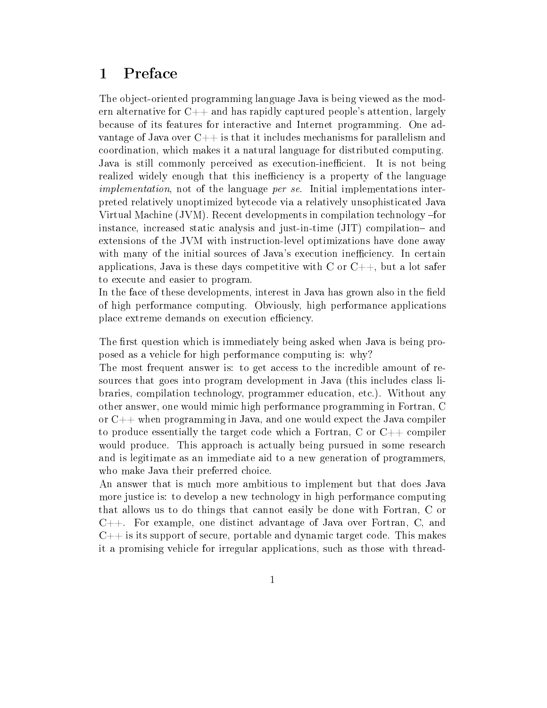#### **Preface**  $\mathbf{1}$

The object-oriented programming language Java is being viewed as the modern alternative for  $C++$  and has rapidly captured people's attention, largely because of its features for interactive and Internet programming. One advantage of Java over  $C_{++}$  is that it includes mechanisms for parallelism and coordination, which makes it a natural language for distributed computing. Java is still commonly perceived as execution-inefficient. It is not being realized widely enough that this inefficiency is a property of the language implementation, not of the language *per se*. Initial implementations interpreted relatively unoptimized bytecode via a relatively unsophisticated Java Virtual Machine (JVM). Recent developments in compilation technology -for instance, increased static analysis and just-in-time  $(JIT)$  compilation- and extensions of the JVM with instruction-level optimizations have done away with many of the initial sources of Java's execution inefficiency. In certain applications, Java is these days competitive with  $C$  or  $C++$ , but a lot safer to execute and easier to program.

In the face of these developments, interest in Java has grown also in the field of high performance computing. Obviously, high performance applications place extreme demands on execution efficiency.

The first question which is immediately being asked when Java is being proposed as a vehicle for high performance computing is: why?

The most frequent answer is: to get access to the incredible amount of resources that goes into program development in Java (this includes class libraries, compilation technology, programmer education, etc.). Without any other answer, one would mimic high performance programming in Fortran, C or  $C_{++}$  when programming in Java, and one would expect the Java compiler to produce essentially the target code which a Fortran, C or  $C_{++}$  compiler would produce. This approach is actually being pursued in some research and is legitimate as an immediate aid to a new generation of programmers, who make Java their preferred choice.

An answer that is much more ambitious to implement but that does Java more justice is: to develop a new technology in high performance computing that allows us to do things that cannot easily be done with Fortran, C or C++. For example, one distinct advantage of Java over Fortran, C, and  $C++$  is its support of secure, portable and dynamic target code. This makes it a promising vehicle for irregular applications, such as those with thread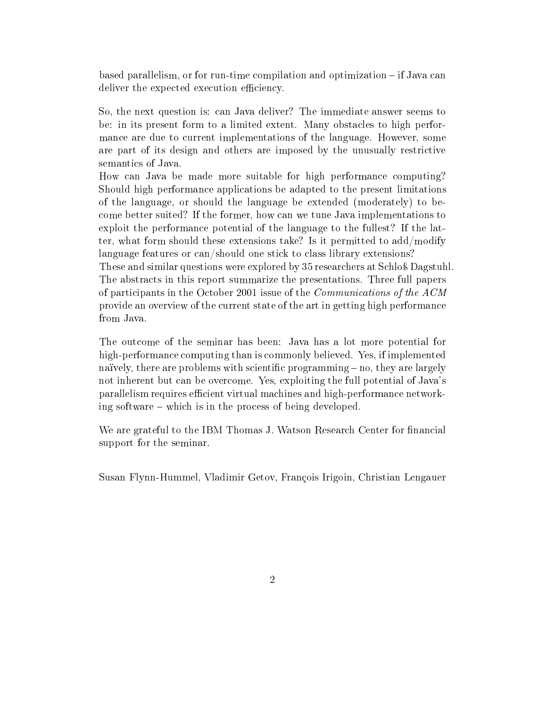based parallelism, or for run-time compilation and optimization  $-$  if Java can deliver the expected execution efficiency.

So, the next question is: can Java deliver? The immediate answer seems to be: in its present form to a limited extent. Many obstacles to high performance are due to current implementations of the language. However, some are part of its design and others are imposed by the unusually restrictive semantics of Java.

How can Java be made more suitable for high performance computing? Should high performance applications be adapted to the present limitations of the language, or should the language be extended (moderately) to become better suited? If the former, how can we tune Java implementations to exploit the performance potential of the language to the fullest? If the latter, what form should these extensions take? Is it permitted to add/modify language features or can/should one stick to class library extensions? These and similar questions were explored by 35 researchers at Schloß Dagstuhl. The abstracts in this report summarize the presentations. Three full papers of participants in the October 2001 issue of the Communications of the ACM provide an overview of the current state of the art in getting high performance from Java.

The outcome of the seminar has been: Java has a lot more potential for high-performance computing than is commonly believed. Yes, if implemented naïvely, there are problems with scientific programming  $-$  no, they are largely not inherent but can be overcome. Yes, exploiting the full potential of Java's parallelism requires efficient virtual machines and high-performance networking software  $-$  which is in the process of being developed.

We are grateful to the IBM Thomas J. Watson Research Center for financial support for the seminar.

Susan Flynn-Hummel, Vladimir Getov, François Irigoin, Christian Lengauer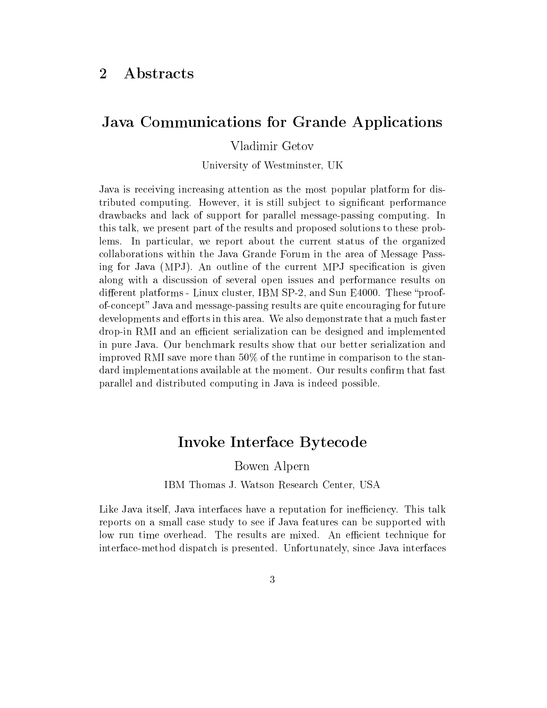#### $\overline{2}$ **Abstracts**

### Java Communications for Grande Applications

#### Vladimir Getov

University of Westminster, UK

Java is receiving increasing attention as the most popular platform for distributed computing. However, it is still subject to significant performance drawbacks and lack of support for parallel message-passing computing. In this talk, we present part of the results and proposed solutions to these problems. In particular, we report about the current status of the organized collaborations within the Java Grande Forum in the area of Message Passing for Java (MPJ). An outline of the current MPJ specification is given along with a discussion of several open issues and performance results on different platforms - Linux cluster, IBM  $SP-2$ , and Sun E4000. These "proofof-concept" Java and message-passing results are quite encouraging for future developments and efforts in this area. We also demonstrate that a much faster drop-in RMI and an efficient serialization can be designed and implemented in pure Java. Our benchmark results show that our better serialization and improved RMI save more than 50% of the runtime in comparison to the standard implementations available at the moment. Our results confirm that fast parallel and distributed computing in Java is indeed possible.

### Invoke Interface Bytecode

Bowen Alpern

IBM Thomas J. Watson Research Center, USA

Like Java itself, Java interfaces have a reputation for inefficiency. This talk reports on a small case study to see if Java features can be supported with low run time overhead. The results are mixed. An efficient technique for interface-method dispatch is presented. Unfortunately, since Java interfaces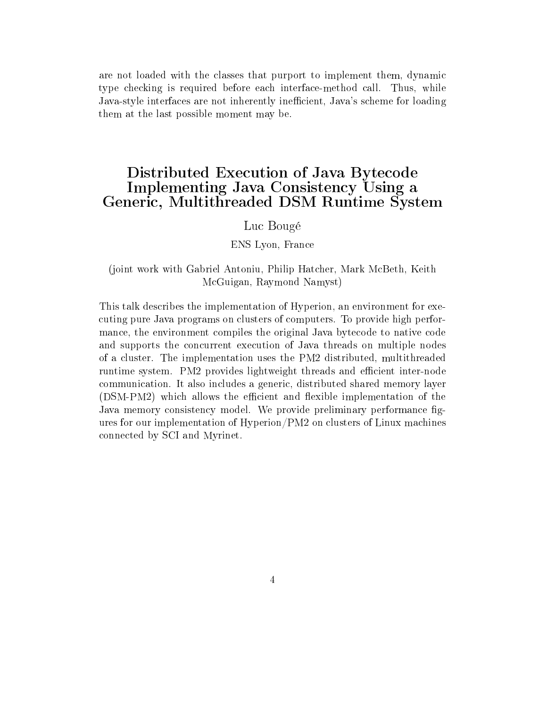are not loaded with the classes that purport to implement them, dynamic type checking is required before each interface-method call. Thus, while Java-style interfaces are not inherently inefficient, Java's scheme for loading them at the last possible moment may be.

### Distributed Execution of Java Bytecode Implementing Java Consistency Using a Generic, Multithreaded DSM Runtime System

#### Luc Bougé

#### ENS Lyon, France

#### (joint work with Gabriel Antoniu, Philip Hatcher, Mark McBeth, Keith McGuigan, Raymond Namyst)

This talk describes the implementation of Hyperion, an environment for executing pure Java programs on clusters of computers. To provide high performance, the environment compiles the original Java bytecode to native code and supports the concurrent execution of Java threads on multiple nodes of a cluster. The implementation uses the PM2 distributed, multithreaded runtime system. PM2 provides lightweight threads and efficient inter-node communication. It also includes a generic, distributed shared memory layer (DSM-PM2) which allows the efficient and flexible implementation of the Java memory consistency model. We provide preliminary performance figures for our implementation of Hyperion/PM2 on clusters of Linux machines connected by SCI and Myrinet.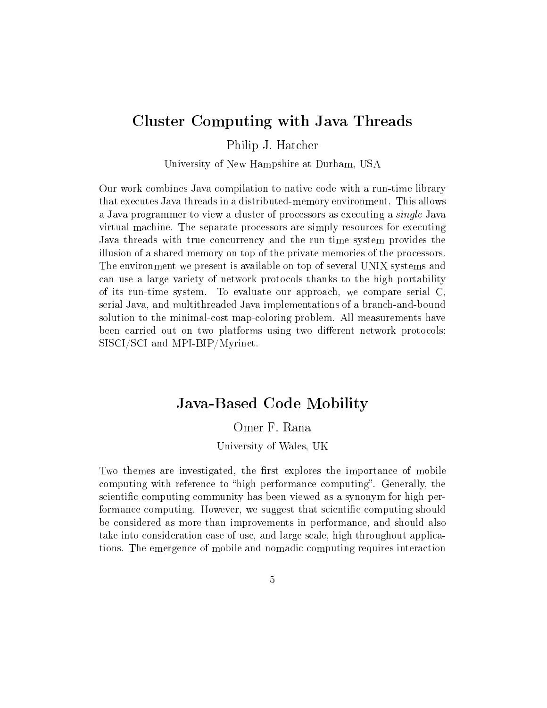### Cluster Computing with Java Threads

Philip J. Hatcher

University of New Hampshire at Durham, USA

Our work combines Java compilation to native code with a run-time library that executes Java threads in a distributed-memory environment. This allows a Java programmer to view a cluster of processors as executing a single Java virtual machine. The separate processors are simply resources for executing Java threads with true concurrency and the run-time system provides the illusion of a shared memory on top of the private memories of the processors. The environment we present is available on top of several UNIX systems and can use a large variety of network protocols thanks to the high portability of its run-time system. To evaluate our approach, we compare serial C, serial Java, and multithreaded Java implementations of a branch-and-bound solution to the minimal-cost map-coloring problem. All measurements have been carried out on two platforms using two different network protocols: SISCI/SCI and MPI-BIP/Myrinet.

### Java-Based Code Mobility

#### Omer F. Rana

#### University of Wales, UK

Two themes are investigated, the first explores the importance of mobile computing with reference to "high performance computing". Generally, the scientific computing community has been viewed as a synonym for high performance computing. However, we suggest that scientific computing should be considered as more than improvements in performance, and should also take into consideration ease of use, and large scale, high throughout applications. The emergence of mobile and nomadic computing requires interaction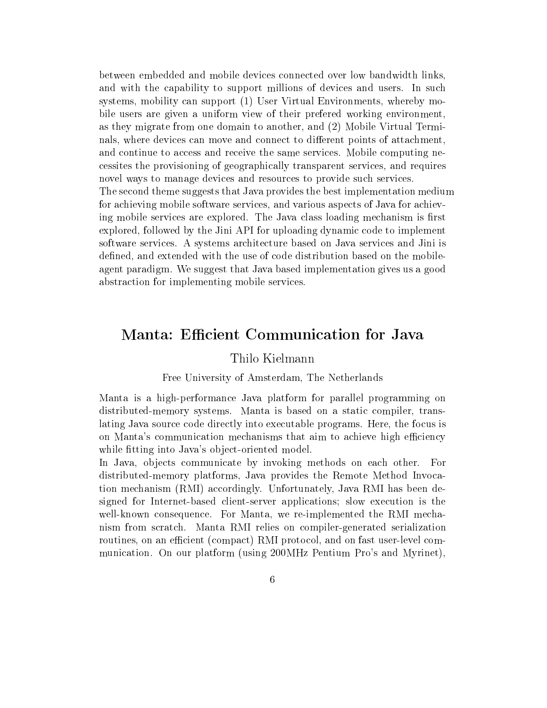between embedded and mobile devices connected over low bandwidth links, and with the capability to support millions of devices and users. In such systems, mobility can support (1) User Virtual Environments, whereby mobile users are given a uniform view of their prefered working environment, as they migrate from one domain to another, and (2) Mobile Virtual Terminals, where devices can move and connect to different points of attachment. and continue to access and receive the same services. Mobile computing necessites the provisioning of geographically transparent services, and requires novel ways to manage devices and resources to provide such services. The second theme suggests that Java provides the best implementation medium for achieving mobile software services, and various aspects of Java for achieving mobile services are explored. The Java class loading mechanism is first explored, followed by the Jini API for uploading dynamic code to implement software services. A systems architecture based on Java services and Jini is defined, and extended with the use of code distribution based on the mobileagent paradigm. We suggest that Java based implementation gives us a good abstraction for implementing mobile services.

### Manta: Efficient Communication for Java

#### Thilo Kielmann

#### Free University of Amsterdam, The Netherlands

Manta is a high-performance Java platform for parallel programming on distributed-memory systems. Manta is based on a static compiler, translating Java source code directly into executable programs. Here, the focus is on Manta's communication mechanisms that aim to achieve high efficiency while fitting into Java's object-oriented model.

In Java, objects communicate by invoking methods on each other. For distributed-memory platforms, Java provides the Remote Method Invocation mechanism (RMI) accordingly. Unfortunately, Java RMI has been designed for Internet-based client-server applications; slow execution is the well-known consequence. For Manta, we re-implemented the RMI mechanism from scratch. Manta RMI relies on compiler-generated serialization routines, on an efficient (compact) RMI protocol, and on fast user-level communication. On our platform (using 200MHz Pentium Pro's and Myrinet),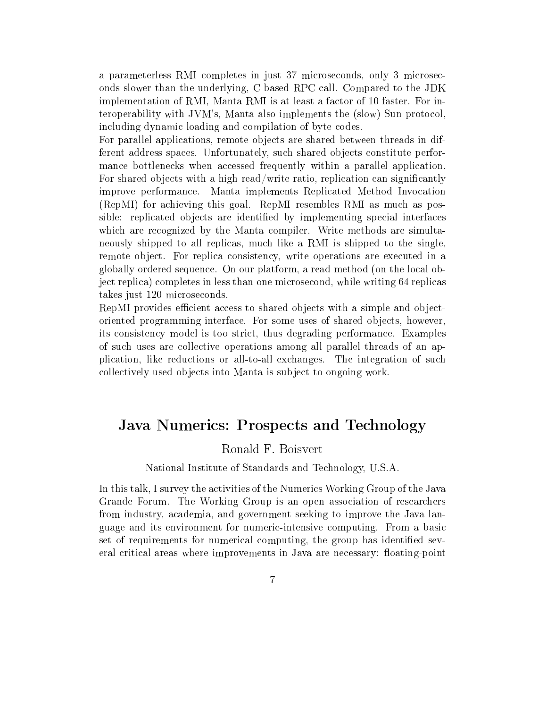a parameterless RMI completes in just 37 microseconds, only 3 microseconds slower than the underlying, C-based RPC call. Compared to the JDK implementation of RMI, Manta RMI is at least a factor of 10 faster. For interoperability with JVM's, Manta also implements the (slow) Sun protocol, including dynamic loading and compilation of byte codes.

For parallel applications, remote objects are shared between threads in different address spaces. Unfortunately, such shared objects constitute performance bottlenecks when accessed frequently within a parallel application. For shared objects with a high read/write ratio, replication can significantly improve performance. Manta implements Replicated Method Invocation (RepMI) for achieving this goal. RepMI resembles RMI as much as possible: replicated objects are identified by implementing special interfaces which are recognized by the Manta compiler. Write methods are simultaneously shipped to all replicas, much like a RMI is shipped to the single, remote object. For replica consistency, write operations are executed in a globally ordered sequence. On our platform, a read method (on the local object replica) completes in less than one microsecond, while writing 64 replicas takes just 120 microseconds.

RepMI provides efficient access to shared objects with a simple and objectoriented programming interface. For some uses of shared ob jects, however, its consistency model is too strict, thus degrading performance. Examples of such uses are collective operations among all parallel threads of an application, like reductions or all-to-all exchanges. The integration of such collectively used objects into Manta is subject to ongoing work.

### Java Numerics: Prospects and Technology

#### Ronald F. Boisvert

#### National Institute of Standards and Technology, U.S.A.

In this talk, I survey the activities of the Numerics Working Group of the Java Grande Forum. The Working Group is an open association of researchers from industry, academia, and government seeking to improve the Java language and its environment for numeric-intensive computing. From a basic set of requirements for numerical computing, the group has identified several critical areas where improvements in Java are necessary: floating-point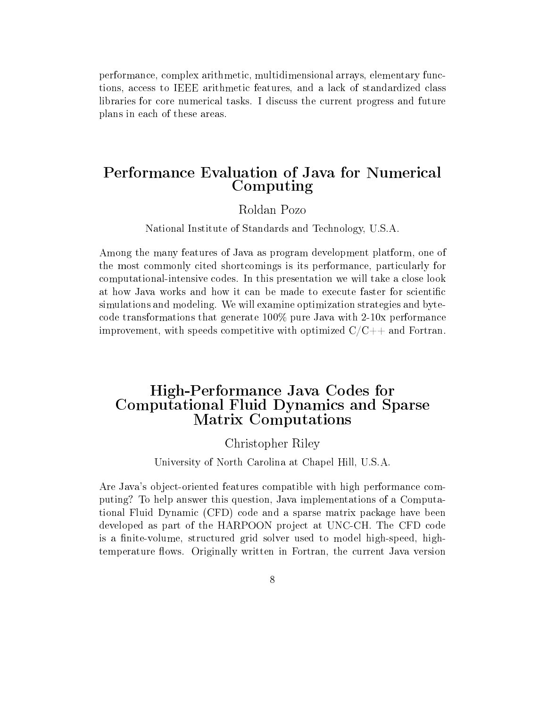performance, complex arithmetic, multidimensional arrays, elementary functions, access to IEEE arithmetic features, and a lack of standardized class libraries for core numerical tasks. I discuss the current progress and future plans in each of these areas.

### Performance Evaluation of Java for Numerical Computing

#### Roldan Pozo

National Institute of Standards and Technology, U.S.A.

Among the many features of Java as program development platform, one of the most commonly cited shortcomings is its performance, particularly for computational-intensive codes. In this presentation we will take a close look at how Java works and how it can be made to execute faster for scientific simulations and modeling. We will examine optimization strategies and bytecode transformations that generate 100% pure Java with 2-10x performance improvement, with speeds competitive with optimized  $C/C++$  and Fortran.

### High-Performance Java Codes for Computational Fluid Dynamics and Sparse Matrix Computations

#### Christopher Riley

#### University of North Carolina at Chapel Hill, U.S.A.

Are Java's object-oriented features compatible with high performance computing? To help answer this question, Java implementations of a Computational Fluid Dynamic (CFD) code and a sparse matrix package have been developed as part of the HARPOON project at UNC-CH. The CFD code is a finite-volume, structured grid solver used to model high-speed, hightemperature flows. Originally written in Fortran, the current Java version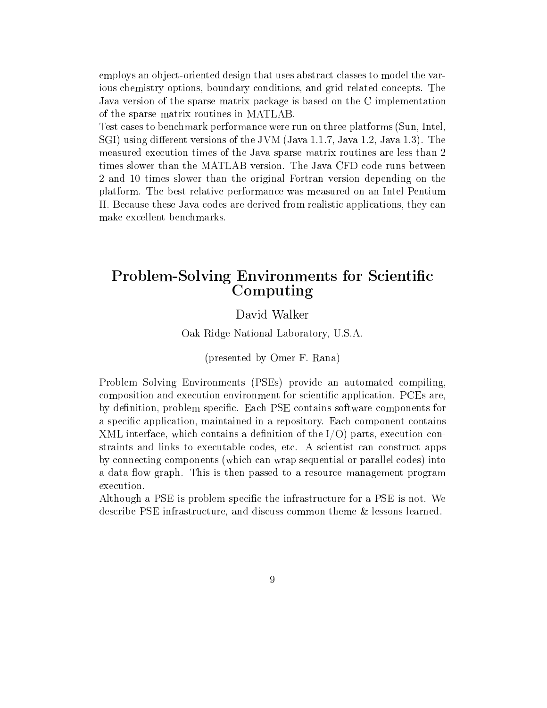employs an ob ject-oriented design that uses abstract classes to model the various chemistry options, boundary conditions, and grid-related concepts. The Java version of the sparse matrix package is based on the C implementation of the sparse matrix routines in MATLAB.

Test cases to benchmark performance were run on three platforms (Sun, Intel, SGI) using different versions of the JVM (Java 1.1.7, Java 1.2, Java 1.3). The measured execution times of the Java sparse matrix routines are less than 2 times slower than the MATLAB version. The Java CFD coderuns between 2 and 10 times slower than the original Fortran version depending on the platform. The best relative performance was measured on an Intel Pentium II. Because these Java codes are derived from realistic applications, they can make excellent benchmarks.

### Problem-Solving Environments for Scientific Computing

#### David Walker

Oak Ridge National Laboratory, U.S.A.

(presented by Omer F. Rana)

Problem Solving Environments (PSEs) provide an automated compiling, composition and execution environment for scientific application. PCEs are, by definition, problem specific. Each PSE contains software components for a specific application, maintained in a repository. Each component contains XML interface, which contains a definition of the  $I/O$ ) parts, execution constraints and links to executable codes, etc. A scientist can construct apps by connecting components (which can wrap sequential or parallel codes) into a data flow graph. This is then passed to a resource management program execution.

Although a PSE is problem specific the infrastructure for a PSE is not. We describe PSE infrastructure, and discuss common theme & lessons learned.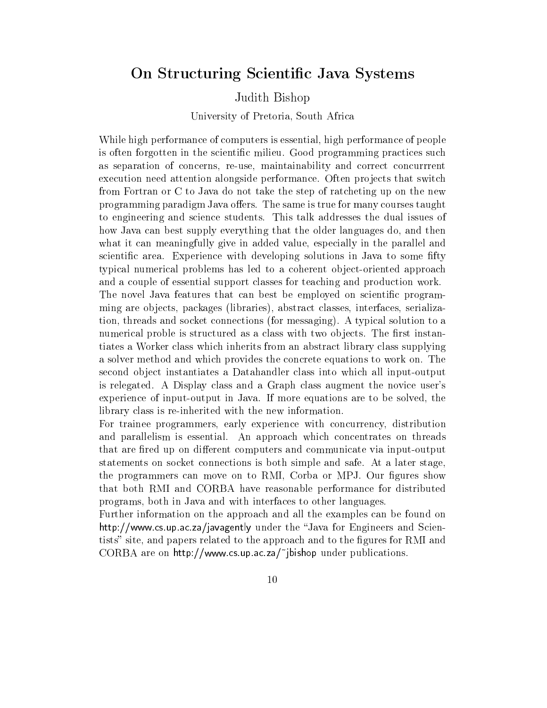### On Structuring Scientific Java Systems

#### Judith Bishop

University of Pretoria, South Africa

While high performance of computers is essential, high performance of people is often forgotten in the scientific milieu. Good programming practices such as separation of concerns, re-use, maintainability and correct concurrrent execution need attention alongside performance. Often projects that switch from Fortran or C to Java do not take the step of ratcheting up on the new programming paradigm Java offers. The same is true for many courses taught to engineering and science students. This talk addresses the dual issues of how Java can best supply everything that the older languages do, and then what it can meaningfully give in added value, especially in the parallel and scientific area. Experience with developing solutions in Java to some fifty typical numerical problems has led to a coherent object-oriented approach and a couple of essential support classes for teaching and production work. The novel Java features that can best be employed on scientific programming are ob jects, packages (libraries), abstract classes, interfaces, serialization, threads and socket connections (for messaging). A typical solution to a numerical proble is structured as a class with two objects. The first instantiates a Worker class which inherits from an abstract library class supplying a solver method and which provides the concrete equations to work on. The second ob ject instantiates a Datahandler class into which all input-output is relegated. A Display class and a Graph class augment the novice user's experience of input-output in Java. If more equations are to be solved, the

For trainee programmers, early experience with concurrency, distribution and parallelism is essential. An approach which concentrates on threads that are fired up on different computers and communicate via input-output statements on socket connections is both simple and safe. At a later stage, the programmers can move on to RMI, Corba or MPJ. Our figures show that both RMI and CORBA have reasonable performance for distributed programs, both in Java and with interfaces to other languages.

library class is re-inherited with the new information.

Further information on the approach and all the examples can be found on http://www.cs.up.ac.za/javagently under the Java for Engineers and Scientists" site, and papers related to the approach and to the figures for RMI and  $CORBA$  are on http://www.cs.up.ac.za/"jbishop under publications.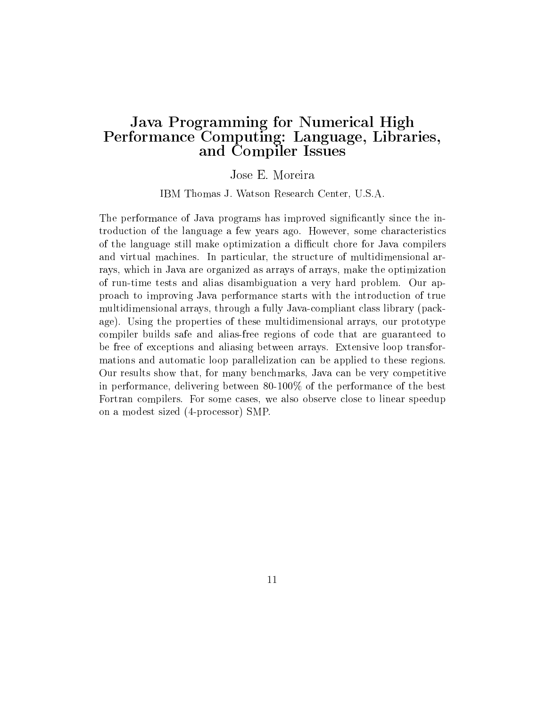### Java Programming for Numerical High Performance Computing: Language, Libraries, and Compiler Issues

#### Jose E. Moreira

IBM Thomas J. Watson Research Center, U.S.A.

The performance of Java programs has improved significantly since the introduction of the language a few years ago. However, some characteristics of the language still make optimization a difficult chore for Java compilers and virtual machines. In particular, the structure of multidimensional arrays, which in Java are organized as arrays of arrays, make the optimization of run-time tests and alias disambiguation a very hard problem. Our approach to improving Java performance starts with the introduction of true multidimensional arrays, through a fully Java-compliant class library (package). Using the properties of these multidimensional arrays, our prototype compiler builds safe and alias-free regions of code that are guaranteed to be free of exceptions and aliasing between arrays. Extensive loop transformations and automatic loop parallelization can be applied to these regions. Our results show that, for many benchmarks, Java can be very competitive in performance, delivering between 80-100% of the performance of the best Fortran compilers. For some cases, we also observe close to linear speedup on a modest sized (4-processor) SMP.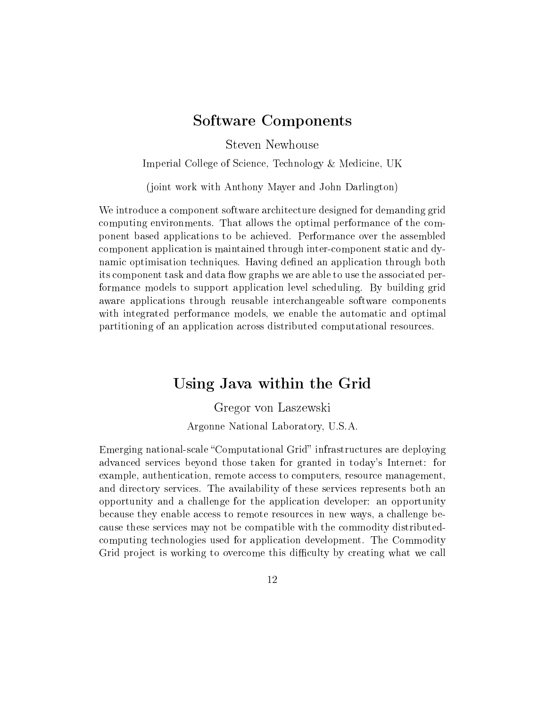### Software Components

Steven Newhouse

Imperial College of Science, Technology & Medicine, UK

(joint work with Anthony Mayer and John Darlington)

We introduce a component software architecture designed for demanding grid computing environments. That allows the optimal performance of the component based applications to be achieved. Performance over the assembled component application is maintained through inter-component static and dynamic optimisation techniques. Having defined an application through both its component task and data flow graphs we are able to use the associated performance models to support application level scheduling. By building grid aware applications through reusable interchangeable software components with integrated performance models, we enable the automatic and optimal partitioning of an application across distributed computational resources.

### Using Java within the Grid

Gregor von Laszewski Argonne National Laboratory, U.S.A.

Emerging national-scale "Computational Grid" infrastructures are deploying advanced services beyond those taken for granted in today's Internet: for example, authentication, remote access to computers, resource management, and directory services. The availability of these services represents both an opportunity and a challenge for the application developer: an opportunity because they enable access to remote resources in new ways, a challenge because these services may not be compatible with the commodity distributedcomputing technologies used for application development. The Commodity Grid project is working to overcome this difficulty by creating what we call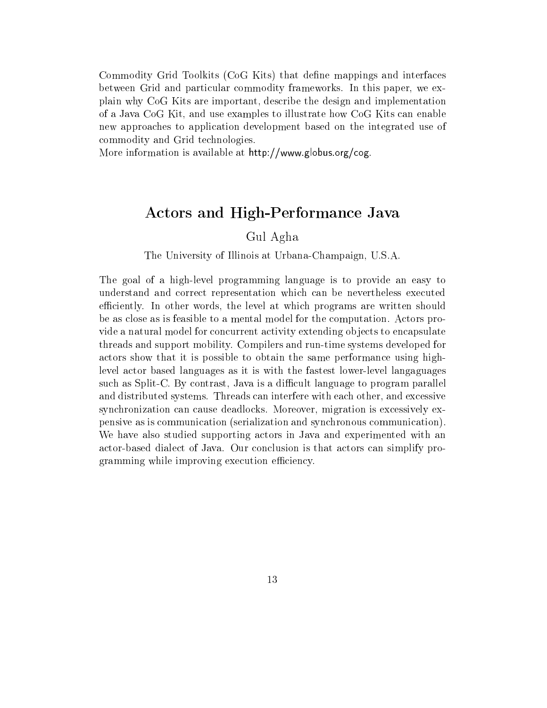Commodity Grid Toolkits (CoG Kits) that dene mappings and interfaces between Grid and particular commodity frameworks. In this paper, we explain why CoG Kits are important, describe the design and implementation of a Java CoG Kit, and use examples to illustrate how CoG Kits can enable new approaches to application development based on the integrated use of commodity and Grid technologies.

More information is available at http://www.globus.org/cog.

## Actors and High-Performance Java

Gul Agha

#### The University of Illinois at Urbana-Champaign, U.S.A.

The goal of a high-level programming language is to provide an easy to understand and correct representation which can be nevertheless executed efficiently. In other words, the level at which programs are written should be as close as is feasible to a mental model for the computation. Actors provide a natural model for concurrent activity extending objects to encapsulate threads and support mobility. Compilers and run-time systems developed for actors show that it is possible to obtain the same performance using highlevel actor based languages as it is with the fastest lower-level langaguages such as Split-C. By contrast, Java is a difficult language to program parallel and distributed systems. Threads can interfere with each other, and excessive synchronization can cause deadlocks. Moreover, migration is excessively expensive as is communication (serialization and synchronous communication). We have also studied supporting actors in Java and experimented with an actor-based dialect of Java. Our conclusion is that actors can simplify programming while improving execution efficiency.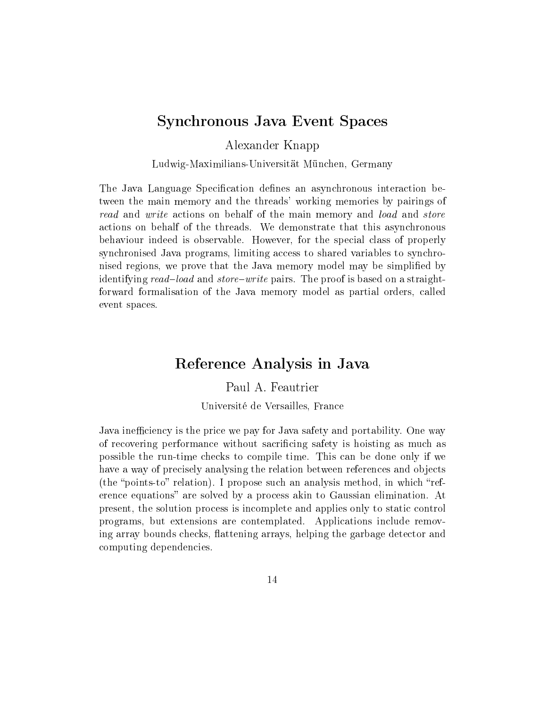### Synchronous Java Event Spaces

Alexander Knapp

Ludwig-Maximilians-Universität München, Germany

The Java Language Specification defines an asynchronous interaction between the main memory and the threads' working memories by pairings of read and write actions on behalf of the main memory and load and store actions on behalf of the threads. We demonstrate that this asynchronous behaviour indeed is observable. However, for the special class of properly synchronised Java programs, limiting access to shared variables to synchronised regions, we prove that the Java memory model may be simplied by identifying read-load and store-write pairs. The proof is based on a straightforward formalisation of the Java memory model as partial orders, called event spaces.

### Reference Analysis in Java

Paul A. Feautrier

Université de Versailles, France

Java inefficiency is the price we pay for Java safety and portability. One way of recovering performance without sacrificing safety is hoisting as much as possible the run-time checks to compile time. This can be done only if we have a way of precisely analysing the relation between references and objects (the "points-to" relation). I propose such an analysis method, in which "reference equations" are solved by a process akin to Gaussian elimination. At present, the solution process is incomplete and applies only to static control programs, but extensions are contemplated. Applications include removing array bounds checks, flattening arrays, helping the garbage detector and computing dependencies.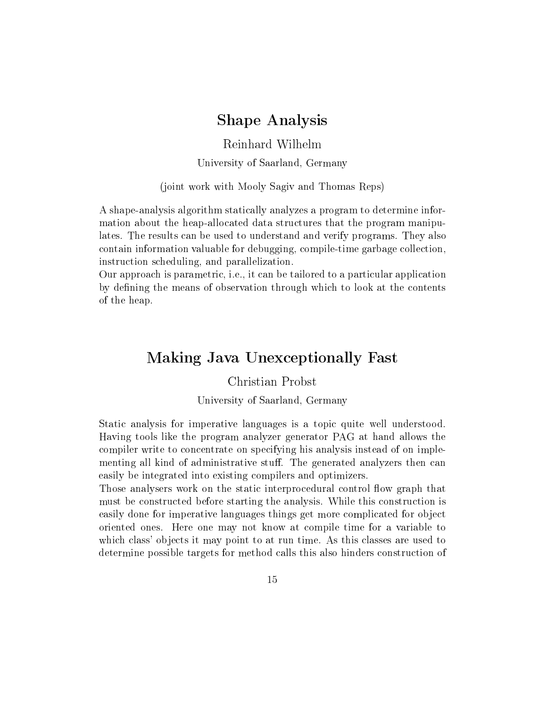### Shape Analysis

Reinhard Wilhelm

University of Saarland, Germany

(joint work with Mooly Sagiv and Thomas Reps)

A shape-analysis algorithm statically analyzes a program to determine information about the heap-allocated data structures that the program manipulates. The results can be used to understand and verify programs. They also contain information valuable for debugging, compile-time garbage collection, instruction scheduling, and parallelization.

Our approach is parametric, i.e., it can be tailored to a particular application by defining the means of observation through which to look at the contents of the heap.

### Making Java Unexceptionally Fast

Christian Probst

University of Saarland, Germany

Static analysis for imperative languages is a topic quite well understood. Having tools like the program analyzer generator PAG at hand allows the compiler write to concentrate on specifying his analysis instead of on implementing all kind of administrative stuff. The generated analyzers then can easily be integrated into existing compilers and optimizers.

Those analysers work on the static interprocedural control flow graph that must be constructed before starting the analysis. While this construction is easily done for imperative languages things get more complicated for object oriented ones. Here one may not know at compile time for a variable to which class' objects it may point to at run time. As this classes are used to determine possible targets for method calls this also hinders construction of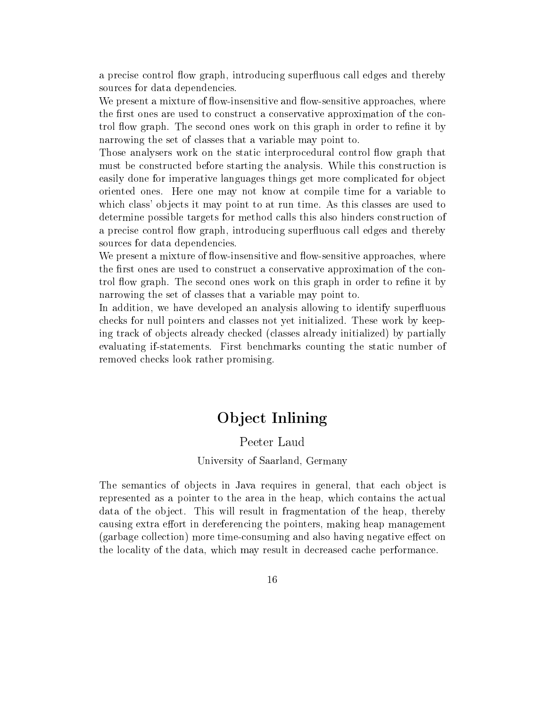a precise control flow graph, introducing superfluous call edges and thereby sources for data dependencies.

We present a mixture of flow-insensitive and flow-sensitive approaches, where the first ones are used to construct a conservative approximation of the control flow graph. The second ones work on this graph in order to refine it by narrowing the set of classes that a variable may point to.

Those analysers work on the static interprocedural control flow graph that must be constructed before starting the analysis. While this construction is easily done for imperative languages things get more complicated for object oriented ones. Here one may not know at compile time for a variable to which class' objects it may point to at run time. As this classes are used to determine possible targets for method calls this also hinders construction of a precise control flow graph, introducing superfluous call edges and thereby sources for data dependencies.

We present a mixture of flow-insensitive and flow-sensitive approaches, where the first ones are used to construct a conservative approximation of the control flow graph. The second ones work on this graph in order to refine it by narrowing the set of classes that a variable may point to.

In addition, we have developed an analysis allowing to identify superfluous checks for null pointers and classes not yet initialized. These work by keeping track of objects already checked (classes already initialized) by partially evaluating if-statements. First benchmarks counting the static number of removed checks look rather promising.

## Ob ject Inlining

#### Peeter Laud

#### University of Saarland, Germany

The semantics of objects in Java requires in general, that each object is represented as a pointer to the area in the heap, which contains the actual data of the object. This will result in fragmentation of the heap, thereby causing extra effort in dereferencing the pointers, making heap management (garbage collection) more time-consuming and also having negative effect on the locality of the data, which may result in decreased cache performance.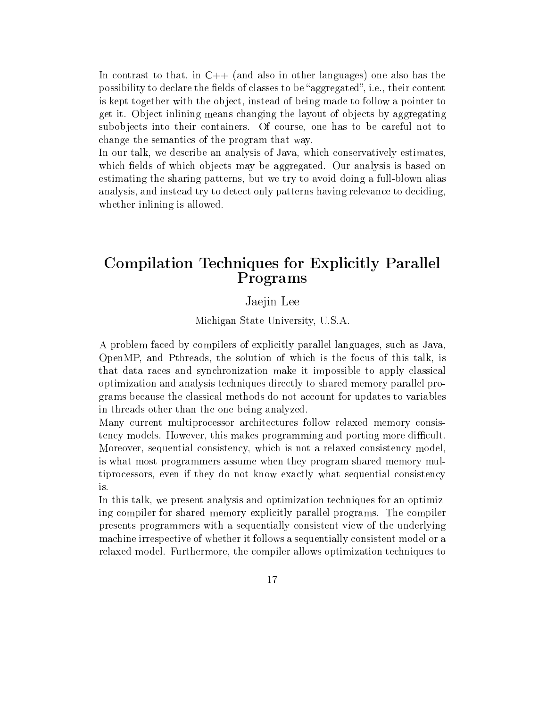In contrast to that, in  $C++$  (and also in other languages) one also has the possibility to declare the fields of classes to be "aggregated", i.e., their content is kept together with the object, instead of being made to follow a pointer to get it. Ob ject inlining means changing the layout of ob jects by aggregating subobjects into their containers. Of course, one has to be careful not to change the semantics of the program that way.

In our talk, we describe an analysis of Java, which conservatively estimates, which fields of which objects may be aggregated. Our analysis is based on estimating the sharing patterns, but we try to avoid doing a full-blown alias analysis, and instead try to detect only patterns having relevance to deciding, whether inlining is allowed.

## Compilation Techniques for Explicitly Parallel Programs

#### Jaejin Lee

Michigan State University, U.S.A.

A problem faced by compilers of explicitly parallel languages, such as Java, OpenMP, and Pthreads, the solution of which is the focus of this talk, is that data races and synchronization make it impossible to apply classical optimization and analysis techniques directly to shared memory parallel programs because the classical methods do not account for updates to variables in threads other than the one being analyzed.

Many current multiprocessor architectures follow relaxed memory consistency models. However, this makes programming and porting more difficult. Moreover, sequential consistency, which is not a relaxed consistency model, is what most programmers assume when they program shared memory multiprocessors, even if they do not know exactly what sequential consistency is.

In this talk, we present analysis and optimization techniques for an optimizing compiler for shared memory explicitly parallel programs. The compiler presents programmers with a sequentially consistent view of the underlying machine irrespective of whether it follows a sequentially consistent model or a relaxed model. Furthermore, the compiler allows optimization techniques to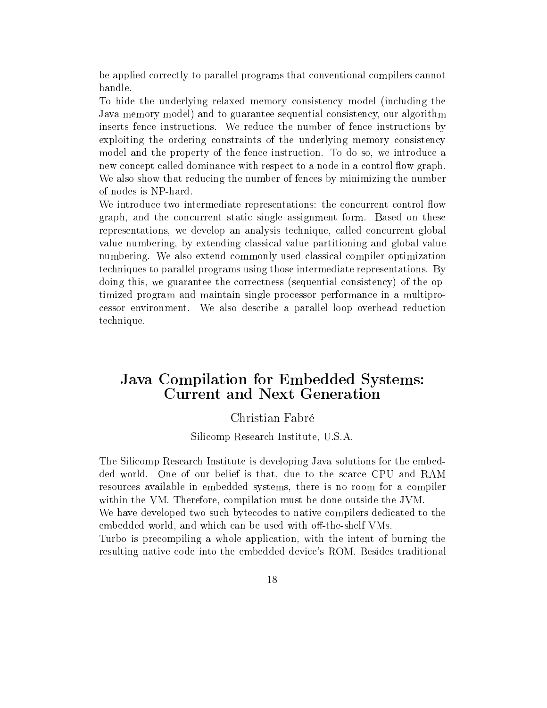be applied correctly to parallel programs that conventional compilers cannot handle.

To hide the underlying relaxed memory consistency model (including the Java memory model) and to guarantee sequential consistency, our algorithm inserts fence instructions. We reduce the number of fence instructions by exploiting the ordering constraints of the underlying memory consistency model and the property of the fence instruction. To do so, we introduce a new concept called dominance with respect to a node in a control flow graph. We also show that reducing the number of fences by minimizing the number of nodes is NP-hard.

We introduce two intermediate representations: the concurrent control flow graph, and the concurrent static single assignment form. Based on these representations, we develop an analysis technique, called concurrent global value numbering, by extending classical value partitioning and global value numbering. We also extend commonly used classical compiler optimization techniques to parallel programs using those intermediate representations. By doing this, we guarantee the correctness (sequential consistency) of the optimized program and maintain single processor performance in a multiprocessor environment. We also describe a parallel loop overhead reduction technique.

### Java Compilation for Embedded Systems: **Current and Next Generation**

#### Christian Fabré

Silicomp Research Institute, U.S.A.

The Silicomp Research Institute is developing Java solutions for the embedded world. One of our belief is that, due to the scarce CPU and RAM resources available in embedded systems, there is no room for a compiler within the VM. Therefore, compilation must be done outside the JVM.

We have developed two such bytecodes to native compilers dedicated to the embedded world, and which can be used with off-the-shelf VMs.

Turbo is precompiling a whole application, with the intent of burning the resulting native code into the embedded device's ROM. Besides traditional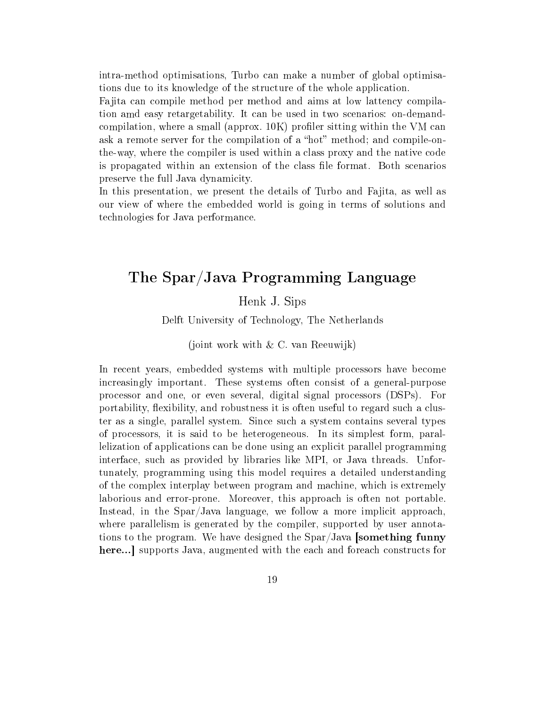intra-method optimisations, Turbo can make a number of global optimisations due to its knowledge of the structure of the whole application.

Fa jita can compile method per method and aims at low lattency compilation amd easy retargetability. It can be used in two scenarios: on-demandcompilation, where a small (approx.  $10K$ ) profiler sitting within the VM can ask a remote server for the compilation of a "hot" method; and compile-onthe-way, where the compiler is used within a class proxy and the native code is propagated within an extension of the class file format. Both scenarios preserve the full Java dynamicity.

In this presentation, we present the details of Turbo and Fajita, as well as our view of where the embedded world is going in terms of solutions and technologies for Java performance.

### The Spar/Java Programming Language

#### Henk J. Sips

Delft University of Technology, The Netherlands

#### (joint work with & C. van Reeuwijk)

In recent years, embedded systems with multiple processors have become increasingly important. These systems often consist of a general-purpose processor and one, or even several, digital signal processors (DSPs). For portability, flexibility, and robustness it is often useful to regard such a cluster as a single, parallel system. Since such a system contains several types of processors, it is said to be heterogeneous. In its simplest form, parallelization of applications can be done using an explicit parallel programming interface, such as provided by libraries like MPI, or Java threads. Unfortunately, programming using this model requires a detailed understanding of the complex interplay between program and machine, which is extremely laborious and error-prone. Moreover, this approach is often not portable. Instead, in the Spar/Java language, we follow a more implicit approach, where parallelism is generated by the compiler, supported by user annotations to the program. We have designed the  $\text{Spar}/\text{Java}$  [something funny here...] supports Java, augmented with the each and foreach constructs for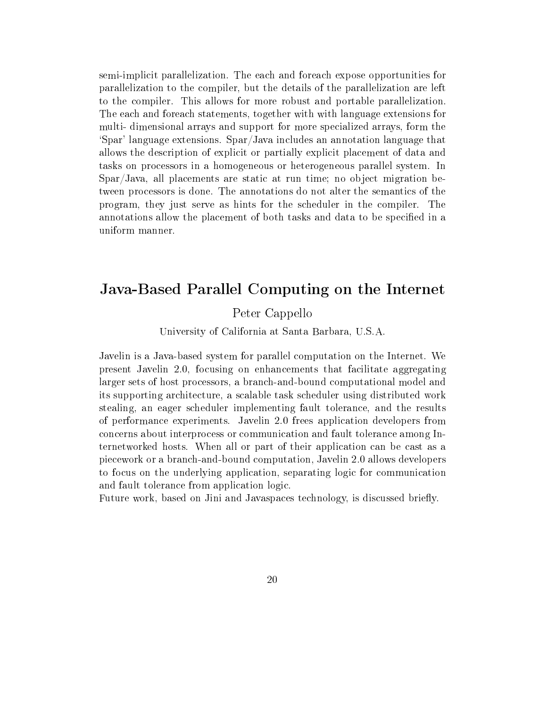semi-implicit parallelization. The each and foreach expose opportunities for parallelization to the compiler, but the details of the parallelization are left to the compiler. This allows for more robust and portable parallelization. The each and foreach statements, together with with language extensions for multi- dimensional arrays and support for more specialized arrays, form the `Spar' language extensions. Spar/Java includes an annotation language that allows the description of explicit or partially explicit placement of data and tasks on processors in a homogeneous or heterogeneous parallel system. In Spar/Java, all placements are static at run time; no object migration between processors is done. The annotations do not alter the semantics of the program, they just serve as hints for the scheduler in the compiler. The annotations allow the placement of both tasks and data to be specified in a uniform manner.

### Java-Based Parallel Computing on the Internet

#### Peter Cappello

University of California at Santa Barbara, U.S.A.

Javelin is a Java-based system for parallel computation on the Internet. We present Javelin 2.0, focusing on enhancements that facilitate aggregating larger sets of host processors, a branch-and-bound computational model and its supporting architecture, a scalable task scheduler using distributed work stealing, an eager scheduler implementing fault tolerance, and the results of performance experiments. Javelin 2.0 frees application developers from concerns about interprocess or communication and fault tolerance among Internetworked hosts. When all or part of their application can be cast as a piecework or a branch-and-bound computation, Javelin 2.0 allows developers to focus on the underlying application, separating logic for communication and fault tolerance from application logic.

Future work, based on Jini and Javaspaces technology, is discussed briefly.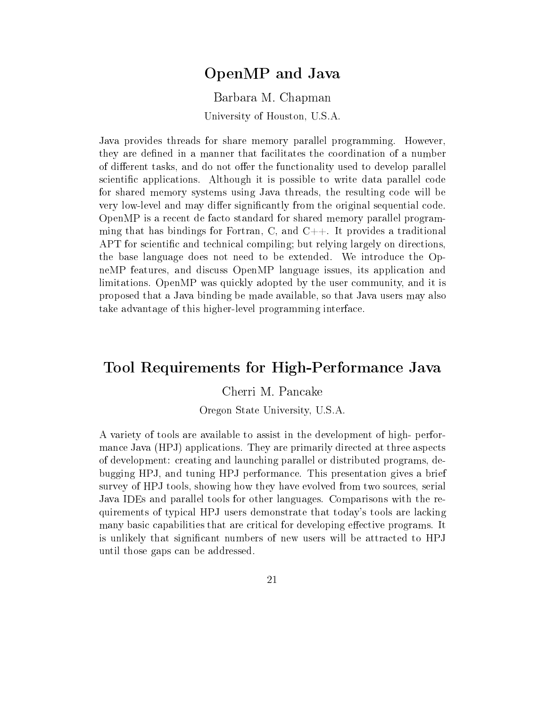### OpenMP and Java

Barbara M. Chapman University of Houston, U.S.A.

Java provides threads for share memory parallel programming. However, they are defined in a manner that facilitates the coordination of a number of different tasks, and do not offer the functionality used to develop parallel scientific applications. Although it is possible to write data parallel code for shared memory systems using Java threads, the resulting code will be very low-level and may differ significantly from the original sequential code. OpenMP is a recent de facto standard for shared memory parallel programming that has bindings for Fortran, C, and  $C_{++}$ . It provides a traditional APT for scientific and technical compiling; but relying largely on directions, the base language does not need to be extended. We introduce the OpneMP features, and discuss OpenMP language issues, its application and limitations. OpenMP was quickly adopted by the user community, and it is proposed that a Java binding be made available, so that Java users may also take advantage of this higher-level programming interface.

### Tool Requirements for High-Performance Java

Cherri M. Pancake

Oregon State University, U.S.A.

A variety of tools are available to assist in the development of high- performance Java (HPJ) applications. They are primarily directed at three aspects of development: creating and launching parallel or distributed programs, debugging HPJ, and tuning HPJ performance. This presentation gives a brief survey of HPJ tools, showing how they have evolved from two sources, serial Java IDEs and parallel tools for other languages. Comparisons with the requirements of typical HPJ users demonstrate that today's tools are lacking many basic capabilities that are critical for developing effective programs. It is unlikely that signicant numbers of new users will be attracted to HPJ until those gaps can be addressed.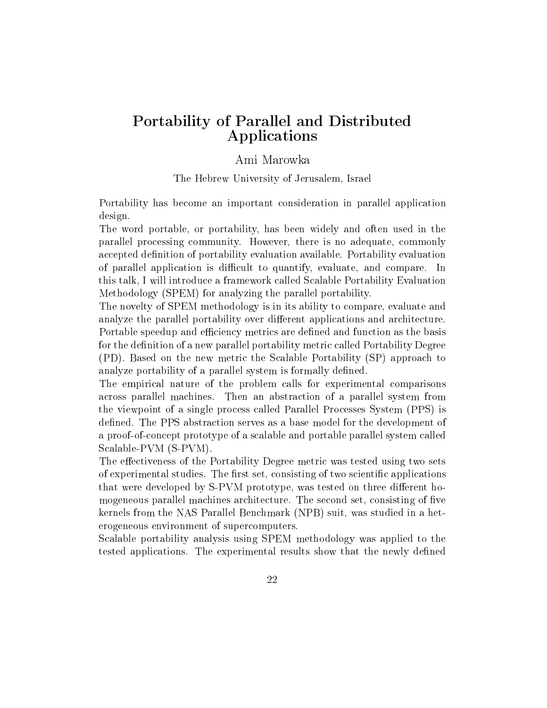### Portability of Parallel and Distributed Applications

#### Ami Marowka

The Hebrew University of Jerusalem, Israel

Portability has become an important consideration in parallel application design.

The word portable, or portability, has been widely and often used in the parallel processing community. However, there is no adequate, commonly accepted definition of portability evaluation available. Portability evaluation of parallel application is difficult to quantify, evaluate, and compare. In this talk, I will introduce a framework called Scalable Portability Evaluation Methodology (SPEM) for analyzing the parallel portability.

The novelty of SPEM methodology is in its ability to compare, evaluate and analyze the parallel portability over different applications and architecture. Portable speedup and efficiency metrics are defined and function as the basis for the definition of a new parallel portability metric called Portability Degree (PD). Based on the new metric the Scalable Portability (SP) approach to analyze portability of a parallel system is formally defined.

The empirical nature of the problem calls for experimental comparisons across parallel machines. Then an abstraction of a parallel system from the viewpoint of a single process called Parallel Processes System (PPS) is defined. The PPS abstraction serves as a base model for the development of a proof-of-concept prototype of a scalable and portable parallel system called Scalable-PVM (S-PVM).

The effectiveness of the Portability Degree metric was tested using two sets of experimental studies. The first set, consisting of two scientific applications that were developed by S-PVM prototype, was tested on three different homogeneous parallel machines architecture. The second set, consisting of five kernels from the NAS Parallel Benchmark (NPB) suit, was studied in a heterogeneous environment of supercomputers.

Scalable portability analysis using SPEM methodology was applied to the tested applications. The experimental results show that the newly defined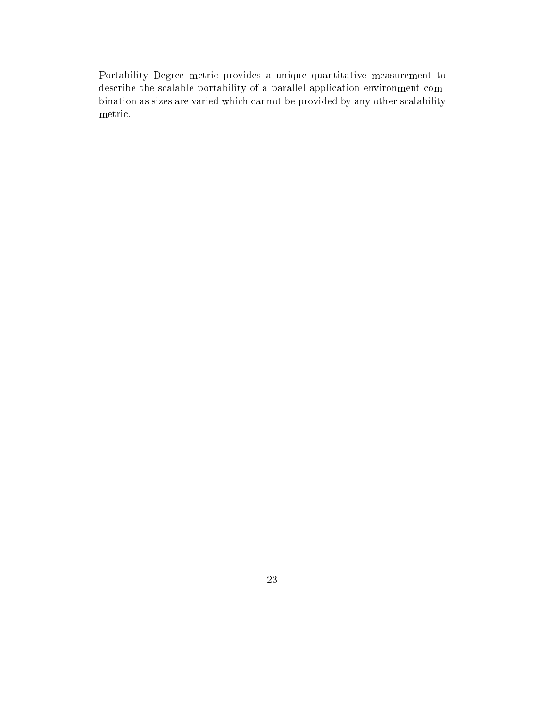Portability Degree metric provides a unique quantitative measurement to describe the scalable portability of a parallel application-environment combination as sizes are varied which cannot be provided by any other scalability metric.